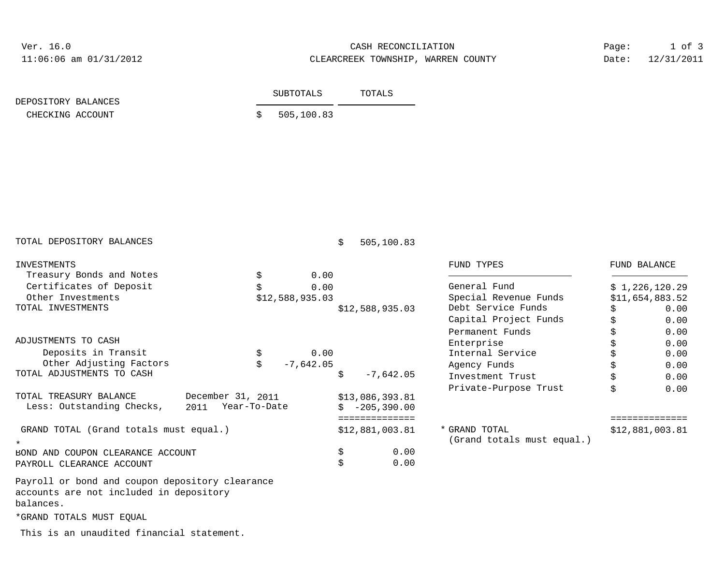Ver. 16.0

## 11:06:06 am 01/31/2012 CLEARCREEK TOWNSHIP, WARREN COUNTY CASH RECONCILIATION

Date: 12/31/2011 Page: 1 of 3

| DEPOSITORY BALANCES | SUBTOTALS |              | TOTALS |  |
|---------------------|-----------|--------------|--------|--|
| CHECKING ACCOUNT    |           | \$505,100.83 |        |  |

| TOTAL DEPOSITORY BALANCES                       |                      |                 | \$ | 505,100.83      |                            |                 |                     |
|-------------------------------------------------|----------------------|-----------------|----|-----------------|----------------------------|-----------------|---------------------|
| INVESTMENTS                                     |                      |                 |    |                 | FUND TYPES                 |                 | <b>FUND BALANCE</b> |
| Treasury Bonds and Notes                        | \$                   | 0.00            |    |                 |                            |                 |                     |
| Certificates of Deposit                         |                      | 0.00            |    |                 | General Fund               |                 | \$1,226,120.29      |
| Other Investments                               |                      | \$12,588,935.03 |    |                 | Special Revenue Funds      | \$11,654,883.52 |                     |
| TOTAL INVESTMENTS                               |                      |                 |    | \$12,588,935.03 | Debt Service Funds         | \$              | 0.00                |
|                                                 |                      |                 |    |                 | Capital Project Funds      | \$              | 0.00                |
|                                                 |                      |                 |    |                 | Permanent Funds            | \$              | 0.00                |
| ADJUSTMENTS TO CASH                             |                      |                 |    |                 | Enterprise                 | \$              | 0.00                |
| Deposits in Transit                             |                      | 0.00            |    |                 | Internal Service           | \$              | 0.00                |
| Other Adjusting Factors                         | Ś                    | $-7,642.05$     |    |                 | Agency Funds               | \$              | 0.00                |
| TOTAL ADJUSTMENTS TO CASH                       |                      |                 | \$ | $-7,642.05$     | Investment Trust           | \$              | 0.00                |
|                                                 |                      |                 |    |                 | Private-Purpose Trust      | \$              | 0.00                |
| TOTAL TREASURY BALANCE                          | December 31, 2011    |                 |    | \$13,086,393.81 |                            |                 |                     |
| Less: Outstanding Checks,                       | Year-To-Date<br>2011 |                 | Ŝ. | $-205,390.00$   |                            |                 |                     |
|                                                 |                      |                 |    | ==============  |                            |                 |                     |
| GRAND TOTAL (Grand totals must equal.)          |                      |                 |    | \$12,881,003.81 | * GRAND TOTAL              |                 | \$12,881,003.81     |
|                                                 |                      |                 |    |                 | (Grand totals must equal.) |                 |                     |
| BOND AND COUPON CLEARANCE ACCOUNT               |                      |                 | \$ | 0.00            |                            |                 |                     |
| PAYROLL CLEARANCE ACCOUNT                       |                      |                 | \$ | 0.00            |                            |                 |                     |
| Payroll or bond and coupon depository clearance |                      |                 |    |                 |                            |                 |                     |
| accounts are not included in depository         |                      |                 |    |                 |                            |                 |                     |
| balances.                                       |                      |                 |    |                 |                            |                 |                     |

\*GRAND TOTALS MUST EQUAL

This is an unaudited financial statement.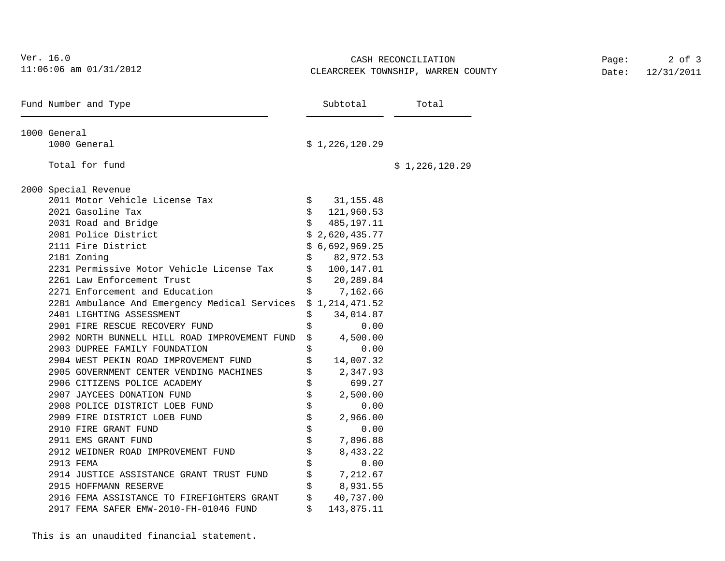| Ver. 16.0<br>11:06:06 am 01/31/2012<br>Fund Number and Type |                                                               |          |                           | CASH RECONCILIATION<br>CLEARCREEK TOWNSHIP, WARREN COUNTY | Page:<br>Date: | $2$ of $3$<br>12/31/2011 |
|-------------------------------------------------------------|---------------------------------------------------------------|----------|---------------------------|-----------------------------------------------------------|----------------|--------------------------|
|                                                             |                                                               | Subtotal |                           | Total                                                     |                |                          |
|                                                             | 1000 General                                                  |          |                           |                                                           |                |                          |
|                                                             | 1000 General                                                  |          | \$1,226,120.29            |                                                           |                |                          |
|                                                             | Total for fund                                                |          |                           | \$1,226,120.29                                            |                |                          |
|                                                             | 2000 Special Revenue                                          |          |                           |                                                           |                |                          |
|                                                             | 2011 Motor Vehicle License Tax                                |          | \$31,155.48               |                                                           |                |                          |
|                                                             | 2021 Gasoline Tax                                             | \$       | 121,960.53                |                                                           |                |                          |
|                                                             | 2031 Road and Bridge                                          |          | $\mathsf S$<br>485,197.11 |                                                           |                |                          |
|                                                             | 2081 Police District                                          |          | \$2,620,435.77            |                                                           |                |                          |
|                                                             | 2111 Fire District                                            |          | \$6,692,969.25            |                                                           |                |                          |
|                                                             | 2181 Zoning                                                   | \$       | 82,972.53                 |                                                           |                |                          |
|                                                             | 2231 Permissive Motor Vehicle License Tax                     | \$       | 100,147.01                |                                                           |                |                          |
|                                                             | 2261 Law Enforcement Trust                                    |          | 20,289.84                 |                                                           |                |                          |
|                                                             | 2271 Enforcement and Education                                | Ŝ.       | 7,162.66                  |                                                           |                |                          |
|                                                             | 2281 Ambulance And Emergency Medical Services \$ 1,214,471.52 |          |                           |                                                           |                |                          |
|                                                             | 2401 LIGHTING ASSESSMENT                                      | \$       | 34,014.87                 |                                                           |                |                          |
|                                                             | 2901 FIRE RESCUE RECOVERY FUND                                |          | 0.00                      |                                                           |                |                          |
|                                                             | 2902 NORTH BUNNELL HILL ROAD IMPROVEMENT FUND                 | \$       | 4,500.00                  |                                                           |                |                          |
|                                                             | 2903 DUPREE FAMILY FOUNDATION                                 |          | 0.00                      |                                                           |                |                          |
|                                                             | 2904 WEST PEKIN ROAD IMPROVEMENT FUND                         |          | 14,007.32                 |                                                           |                |                          |
|                                                             | 2905 GOVERNMENT CENTER VENDING MACHINES                       |          | 2,347.93                  |                                                           |                |                          |
|                                                             | 2906 CITIZENS POLICE ACADEMY                                  |          | 699.27                    |                                                           |                |                          |
|                                                             | 2907 JAYCEES DONATION FUND                                    |          | 2,500.00                  |                                                           |                |                          |
|                                                             | 2908 POLICE DISTRICT LOEB FUND                                |          | 0.00                      |                                                           |                |                          |
|                                                             | 2909 FIRE DISTRICT LOEB FUND                                  | \$       | 2,966.00                  |                                                           |                |                          |
|                                                             | 2910 FIRE GRANT FUND                                          | \$       | 0.00                      |                                                           |                |                          |
|                                                             | 2911 EMS GRANT FUND                                           | \$       | 7,896.88                  |                                                           |                |                          |
|                                                             | 2912 WEIDNER ROAD IMPROVEMENT FUND                            |          | 8,433.22                  |                                                           |                |                          |
|                                                             | 2913 FEMA                                                     |          | 0.00                      |                                                           |                |                          |
|                                                             | 2914 JUSTICE ASSISTANCE GRANT TRUST FUND                      | \$       | 7,212.67                  |                                                           |                |                          |
|                                                             | 2915 HOFFMANN RESERVE                                         |          | 8,931.55                  |                                                           |                |                          |
|                                                             | 2916 FEMA ASSISTANCE TO FIREFIGHTERS GRANT                    | \$       | 40,737.00                 |                                                           |                |                          |
|                                                             | 2917 FEMA SAFER EMW-2010-FH-01046 FUND                        | Ś.       | 143,875.11                |                                                           |                |                          |